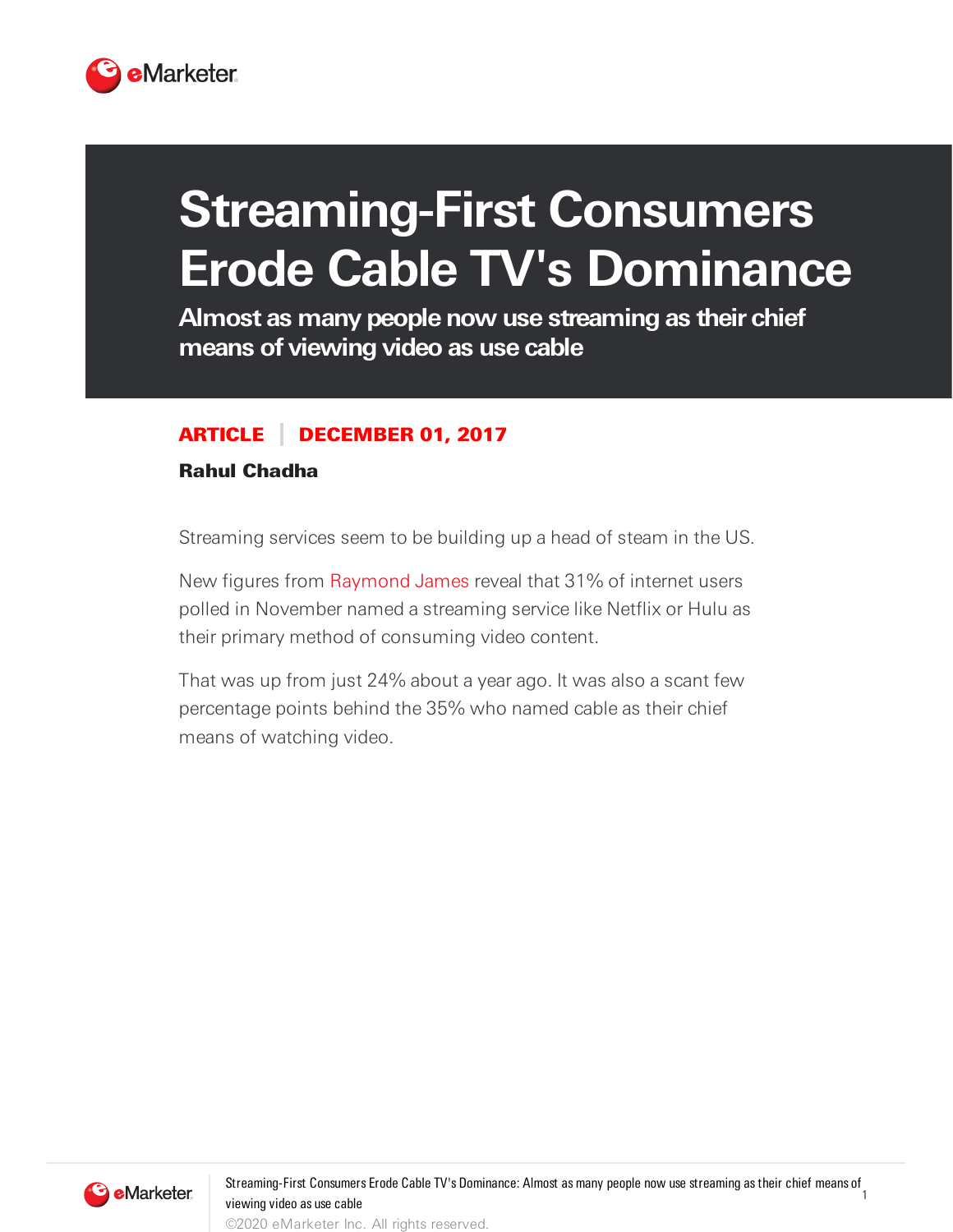

## **Streaming-First Consumers Erode Cable TV's Dominance**

**Almost as many people now use streaming as their chief means of viewing video as use cable**

## ARTICLE DECEMBER 01, 2017

## Rahul Chadha

Streaming services seem to be building up a head of steam in the US.

New figures from [Raymond](https://www.raymondjames.com/) James reveal that 31% of internet users polled in November named a streaming service like Netflix or Hulu as their primary method of consuming video content.

That was up from just 24% about a year ago. It was also a scant few percentage points behind the 35% who named cable as their chief means of watching video.

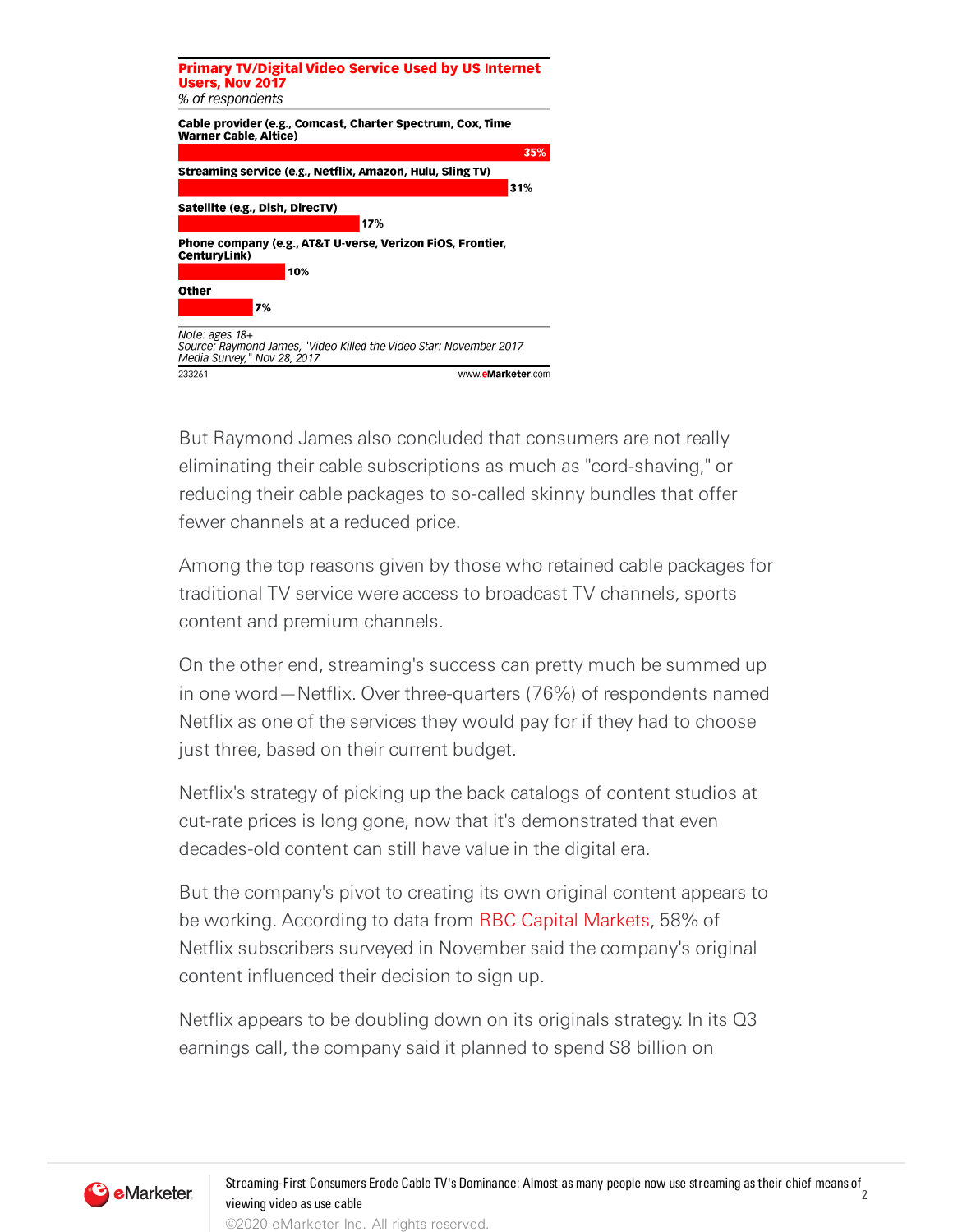

But Raymond James also concluded that consumers are not really eliminating their cable subscriptions as much as "cord-shaving," or reducing their cable packages to so-called skinny bundles that offer fewer channels at a reduced price.

Among the top reasons given by those who retained cable packages for traditional TV service were access to broadcast TV channels, sports content and premium channels.

On the other end, streaming's success can pretty much be summed up in one word—Netflix. Over three-quarters (76%) of respondents named Netflix as one of the services they would pay for if they had to choose just three, based on their current budget.

Netflix's strategy of picking up the back catalogs of content studios at cut-rate prices is long gone, now that it's demonstrated that even decades-old content can still have value in the digital era.

But the company's pivot to creating its own original content appears to be working. According to data from RBC Capital [Markets,](https://www.rbccm.com/en/) 58% of Netflix subscribers surveyed in November said the company's original content influenced their decision to sign up.

Netflix appears to be doubling down on its originals strategy. In its Q3 earnings call, the company said it planned to spend \$8 billion on